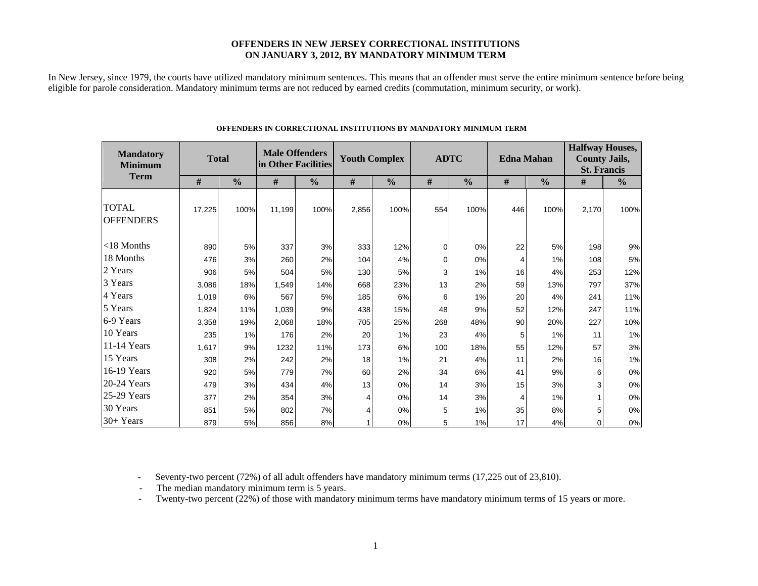### **OFFENDERS IN NEW JERSEY CORRECTIONAL INSTITUTIONS ON JANUARY 3, 2012, BY MANDATORY MINIMUM TERM**

In New Jersey, since 1979, the courts have utilized mandatory minimum sentences. This means that an offender must serve the entire minimum sentence before being eligible for parole consideration. Mandatory minimum terms are not reduced by earned credits (commutation, minimum security, or work).

| <b>Mandatory</b><br><b>Minimum</b><br><b>Term</b> | <b>Total</b> |               | <b>Male Offenders</b><br>in Other Facilities |               | <b>Youth Complex</b> |               | <b>ADTC</b> |               | <b>Edna Mahan</b> |               | <b>Halfway Houses,</b><br><b>County Jails,</b><br><b>St. Francis</b> |               |  |
|---------------------------------------------------|--------------|---------------|----------------------------------------------|---------------|----------------------|---------------|-------------|---------------|-------------------|---------------|----------------------------------------------------------------------|---------------|--|
|                                                   | #            | $\frac{0}{0}$ | #                                            | $\frac{0}{0}$ | #                    | $\frac{0}{0}$ | #           | $\frac{0}{0}$ | #                 | $\frac{0}{0}$ | #                                                                    | $\frac{0}{0}$ |  |
| <b>TOTAL</b><br><b>OFFENDERS</b>                  | 17,225       | 100%          | 11,199                                       | 100%          | 2,856                | 100%          | 554         | 100%          | 446               | 100%          | 2,170                                                                | 100%          |  |
| $<$ 18 Months                                     | 890          | 5%            | 337                                          | 3%            | 333                  | 12%           | $\Omega$    | 0%            | 22                | 5%            | 198                                                                  | 9%            |  |
| 18 Months                                         | 476          | 3%            | 260                                          | 2%            | 104                  | 4%            | $\Omega$    | 0%            | 4                 | 1%            | 108                                                                  | 5%            |  |
| 2 Years                                           | 906          | 5%            | 504                                          | 5%            | 130                  | 5%            | 3           | 1%            | 16                | 4%            | 253                                                                  | 12%           |  |
| 3 Years                                           | 3,086        | 18%           | 1,549                                        | 14%           | 668                  | 23%           | 13          | 2%            | 59                | 13%           | 797                                                                  | 37%           |  |
| 4 Years                                           | 1,019        | 6%            | 567                                          | 5%            | 185                  | 6%            | 6           | 1%            | 20                | 4%            | 241                                                                  | 11%           |  |
| 5 Years                                           | 1,824        | 11%           | 1,039                                        | 9%            | 438                  | 15%           | 48          | 9%            | 52                | 12%           | 247                                                                  | 11%           |  |
| 6-9 Years                                         | 3,358        | 19%           | 2,068                                        | 18%           | 705                  | 25%           | 268         | 48%           | 90                | 20%           | 227                                                                  | 10%           |  |
| 10 Years                                          | 235          | 1%            | 176                                          | 2%            | 20                   | 1%            | 23          | 4%            | 5                 | 1%            | 11                                                                   | 1%            |  |
| $11-14$ Years                                     | 1,617        | 9%            | 1232                                         | 11%           | 173                  | 6%            | 100         | 18%           | 55                | 12%           | 57                                                                   | 3%            |  |
| 15 Years                                          | 308          | 2%            | 242                                          | 2%            | 18                   | 1%            | 21          | 4%            | 11                | 2%            | 16                                                                   | 1%            |  |
| 16-19 Years                                       | 920          | 5%            | 779                                          | 7%            | 60                   | 2%            | 34          | 6%            | 41                | 9%            | 6                                                                    | 0%            |  |
| 20-24 Years                                       | 479          | 3%            | 434                                          | 4%            | 13                   | 0%            | 14          | 3%            | 15                | 3%            | 3                                                                    | 0%            |  |
| 25-29 Years                                       | 377          | 2%            | 354                                          | 3%            | 4                    | 0%            | 14          | 3%            | 4                 | 1%            |                                                                      | 0%            |  |
| 30 Years                                          | 851          | 5%            | 802                                          | 7%            | 4                    | 0%            | 5           | 1%            | 35                | 8%            | 5                                                                    | 0%            |  |
| 30+ Years                                         | 879          | 5%            | 856                                          | 8%            |                      | 0%            | 5           | 1%            | 17                | 4%            | $\Omega$                                                             | $0\%$         |  |

#### **OFFENDERS IN CORRECTIONAL INSTITUTIONS BY MANDATORY MINIMUM TERM**

- Seventy-two percent (72%) of all adult offenders have mandatory minimum terms (17,225 out of 23,810).

- The median mandatory minimum term is 5 years.

-Twenty-two percent (22%) of those with mandatory minimum terms have mandatory minimum terms of 15 years or more.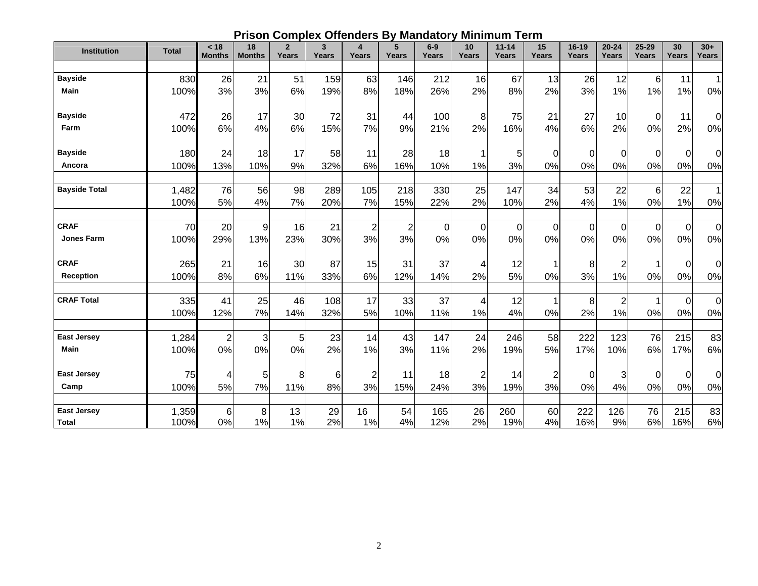|  |  |  | <b>Prison Complex Offenders By Mandatory Minimum Term</b> |
|--|--|--|-----------------------------------------------------------|
|--|--|--|-----------------------------------------------------------|

| <b>Institution</b>   | <b>Total</b> | < 18<br><b>Months</b> | 18<br><b>Months</b> | $\overline{2}$<br>Years | 3<br>Years | 4<br>Years     | 5<br>Years     | $6-9$<br>Years | 10<br>Years    | $11 - 14$<br>Years | 15<br>Years    | $16 - 19$<br>Years | $20 - 24$<br>Years | $25 - 29$<br>Years | 30<br>Years | $30+$<br>Years |
|----------------------|--------------|-----------------------|---------------------|-------------------------|------------|----------------|----------------|----------------|----------------|--------------------|----------------|--------------------|--------------------|--------------------|-------------|----------------|
|                      |              |                       |                     |                         |            |                |                |                |                |                    |                |                    |                    |                    |             |                |
| <b>Bayside</b>       | 830          | 26                    | 21                  | 51                      | 159        | 63             | 146            | 212            | 16             | 67                 | 13             | 26                 | 12                 | $6\phantom{1}6$    | 11          |                |
| <b>Main</b>          | 100%         | 3%                    | 3%                  | 6%                      | 19%        | 8%             | 18%            | 26%            | 2%             | 8%                 | 2%             | 3%                 | 1%                 | 1%                 | 1%          | 0%             |
| <b>Bayside</b>       | 472          | 26                    | 17                  | 30                      | 72         | 31             | 44             | 100            | 8              | 75                 | 21             | 27                 | 10                 | 0                  | 11          | $\Omega$       |
| Farm                 | 100%         | 6%                    | 4%                  | 6%                      | 15%        | 7%             | 9%             | 21%            | 2%             | 16%                | 4%             | 6%                 | 2%                 | 0%                 | 2%          | 0%             |
| <b>Bayside</b>       | 180          | 24                    | 18                  | 17                      | 58         | 11             | 28             | 18             |                | 5                  | 0              | 0                  | 0                  | 0                  | 0           | $\Omega$       |
| Ancora               | 100%         | 13%                   | 10%                 | 9%                      | 32%        | 6%             | 16%            | 10%            | 1%             | 3%                 | 0%             | 0%                 | 0%                 | 0%                 | 0%          | 0%             |
| <b>Bayside Total</b> | 1,482        | 76                    | 56                  | 98                      | 289        | 105            | 218            | 330            | 25             | 147                | 34             | 53                 | 22                 | 6                  | 22          | $\overline{1}$ |
|                      | 100%         | 5%                    | 4%                  | 7%                      | 20%        | 7%             | 15%            | 22%            | 2%             | 10%                | 2%             | 4%                 | 1%                 | 0%                 | 1%          | 0%             |
| <b>CRAF</b>          | 70           | 20                    | 9                   | 16                      | 21         | $\overline{c}$ | $\overline{2}$ | 0              | $\Omega$       | 0                  | 0              | $\Omega$           | $\Omega$           | $\Omega$           | 0           | $\Omega$       |
| <b>Jones Farm</b>    | 100%         | 29%                   | 13%                 | 23%                     | 30%        | 3%             | 3%             | 0%             | 0%             | 0%                 | 0%             | 0%                 | 0%                 | 0%                 | 0%          | 0%             |
| <b>CRAF</b>          | 265          | 21                    | 16                  | 30                      | 87         | 15             | 31             | 37             | 4              | 12                 | 1              | 8                  | 2                  |                    | 0           | $\mathbf 0$    |
| <b>Reception</b>     | 100%         | 8%                    | 6%                  | 11%                     | 33%        | 6%             | 12%            | 14%            | 2%             | 5%                 | 0%             | 3%                 | 1%                 | 0%                 | 0%          | 0%             |
| <b>CRAF Total</b>    | 335          | 41                    | 25                  | 46                      | 108        | 17             | 33             | 37             | 4              | 12                 | 1              | 8                  | $\overline{2}$     |                    | 0           | $\Omega$       |
|                      | 100%         | 12%                   | 7%                  | 14%                     | 32%        | 5%             | 10%            | 11%            | 1%             | 4%                 | 0%             | 2%                 | 1%                 | 0%                 | 0%          | 0%             |
| <b>East Jersey</b>   | 1,284        | $\boldsymbol{2}$      | 3                   | 5                       | 23         | 14             | 43             | 147            | 24             | 246                | 58             | 222                | 123                | 76                 | 215         | 83             |
| <b>Main</b>          | 100%         | 0%                    | 0%                  | 0%                      | 2%         | 1%             | 3%             | 11%            | 2%             | 19%                | 5%             | 17%                | 10%                | 6%                 | 17%         | 6%             |
| <b>East Jersey</b>   | 75           | 4                     | 5                   | 8                       | 6          | $\overline{c}$ | 11             | 18             | $\overline{2}$ | 14                 | $\overline{2}$ | 0                  | 3                  | 0                  | $\mathbf 0$ | $\mathbf 0$    |
| Camp                 | 100%         | 5%                    | 7%                  | 11%                     | 8%         | 3%             | 15%            | 24%            | 3%             | 19%                | 3%             | 0%                 | 4%                 | 0%                 | 0%          | 0%             |
| <b>East Jersey</b>   | 1,359        | 6                     | 8                   | 13                      | 29         | 16             | 54             | 165            | 26             | 260                | 60             | 222                | 126                | 76                 | 215         | 83             |
| Total                | 100%         | 0%                    | 1%                  | 1%                      | 2%         | 1%             | 4%             | 12%            | 2%             | 19%                | 4%             | 16%                | 9%                 | 6%                 | 16%         | 6%             |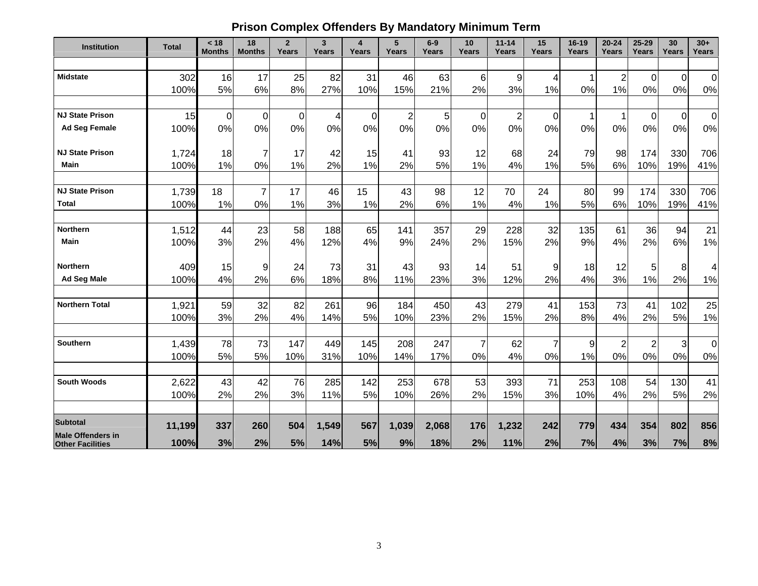# **Prison Complex Offenders By Mandatory Minimum Term**

| <b>Institution</b>                                  | <b>Total</b>  | < 18<br><b>Months</b> | 18<br><b>Months</b> | $\overline{2}$<br>Years | $\overline{3}$<br>Years | $\overline{\mathbf{4}}$<br>Years | 5<br>Years     | $6-9$<br>Years | 10<br>Years    | $11 - 14$<br>Years | 15<br>Years    | $16 - 19$<br>Years | $20 - 24$<br>Years      | $25 - 29$<br>Years | 30<br>Years    | $30+$<br>Years |
|-----------------------------------------------------|---------------|-----------------------|---------------------|-------------------------|-------------------------|----------------------------------|----------------|----------------|----------------|--------------------|----------------|--------------------|-------------------------|--------------------|----------------|----------------|
|                                                     |               |                       |                     |                         |                         |                                  |                |                |                |                    |                |                    |                         |                    |                |                |
| <b>Midstate</b>                                     | 302           | 16                    | 17                  | 25                      | 82                      | 31                               | 46             | 63             | 6              | 9                  | 4              | 1                  | $\overline{\mathbf{c}}$ | $\overline{0}$     | $\overline{0}$ | $\overline{0}$ |
|                                                     | 100%          | 5%                    | 6%                  | 8%                      | 27%                     | 10%                              | 15%            | 21%            | 2%             | 3%                 | 1%             | 0%                 | 1%                      | 0%                 | 0%             | 0%             |
|                                                     |               |                       |                     |                         |                         |                                  |                |                |                |                    |                |                    |                         |                    |                |                |
| <b>NJ State Prison</b>                              | 15            | $\mathbf 0$           | $\overline{0}$      | $\overline{0}$          | 4                       | $\overline{0}$                   | $\overline{c}$ | 5 <sup>1</sup> | $\mathbf 0$    | $\boldsymbol{2}$   | $\pmb{0}$      | 1                  | 1                       | $\mathbf 0$        | $\overline{0}$ | $\overline{0}$ |
| <b>Ad Seg Female</b>                                | 100%          | 0%                    | 0%                  | 0%                      | 0%                      | 0%                               | 0%             | 0%             | 0%             | 0%                 | 0%             | 0%                 | 0%                      | 0%                 | 0%             | 0%             |
| <b>NJ State Prison</b>                              | 1,724         | 18                    |                     | 17                      | 42                      | 15                               | 41             | 93             | 12             | 68                 | 24             | 79                 | 98                      | 174                | 330            | 706            |
| Main                                                | 100%          | 1%                    | 0%                  | 1%                      | 2%                      | 1%                               | 2%             | 5%             | 1%             | 4%                 | 1%             | 5%                 | 6%                      | 10%                | 19%            | 41%            |
| <b>NJ State Prison</b>                              | 1,739         | 18                    | $\overline{7}$      | 17                      | 46                      | 15                               | 43             | 98             | 12             | 70                 | 24             | 80                 | 99                      | 174                | 330            | 706            |
| <b>Total</b>                                        | 100%          | 1%                    | 0%                  | 1%                      | 3%                      | 1%                               | 2%             | 6%             | 1%             | 4%                 | 1%             | 5%                 | 6%                      | 10%                | 19%            | 41%            |
|                                                     |               |                       |                     |                         |                         |                                  |                |                |                |                    |                |                    |                         |                    |                |                |
| Northern                                            | 1,512         | 44                    | 23                  | 58                      | 188                     | 65                               | 141            | 357            | 29             | 228                | 32             | 135                | 61                      | 36                 | 94             | 21             |
| <b>Main</b>                                         | 100%          | 3%                    | 2%                  | 4%                      | 12%                     | 4%                               | 9%             | 24%            | 2%             | 15%                | 2%             | 9%                 | 4%                      | 2%                 | 6%             | 1%             |
| <b>Northern</b>                                     | 409           | 15                    | 9                   | 24                      | 73                      | 31                               | 43             | 93             | 14             | 51                 | 9              | 18                 | 12                      | 5                  | 8              | 4              |
| <b>Ad Seg Male</b>                                  | 100%          | 4%                    | 2%                  | 6%                      | 18%                     | 8%                               | 11%            | 23%            | 3%             | 12%                | 2%             | 4%                 | 3%                      | 1%                 | 2%             | 1%             |
| <b>Northern Total</b>                               | 1,921         | 59                    | 32                  | 82                      | 261                     | 96                               | 184            | 450            | 43             | 279                | 41             | 153                | 73                      | 41                 | 102            | 25             |
|                                                     | 100%          | 3%                    | 2%                  | 4%                      | 14%                     | 5%                               | 10%            | 23%            | 2%             | 15%                | 2%             | 8%                 | 4%                      | 2%                 | 5%             | 1%             |
| Southern                                            | 1,439         | 78                    | 73                  | 147                     | 449                     | 145                              | 208            | 247            | $\overline{7}$ | 62                 | $\overline{7}$ | $\mathsf g$        | $\overline{c}$          | $\overline{2}$     | $\overline{3}$ | $\Omega$       |
|                                                     | 100%          | 5%                    | 5%                  | 10%                     | 31%                     | 10%                              | 14%            | 17%            | 0%             | 4%                 | 0%             | 1%                 | 0%                      | 0%                 | 0%             | $0\%$          |
|                                                     |               |                       |                     |                         |                         |                                  |                |                |                |                    |                |                    |                         |                    |                |                |
| <b>South Woods</b>                                  | 2,622<br>100% | 43<br>2%              | 42<br>2%            | 76<br>3%                | 285<br>11%              | 142<br>5%                        | 253<br>10%     | 678<br>26%     | 53<br>2%       | 393<br>15%         | 71<br>3%       | 253<br>10%         | 108<br>4%               | 54<br>2%           | 130<br>5%      | 41             |
|                                                     |               |                       |                     |                         |                         |                                  |                |                |                |                    |                |                    |                         |                    |                | 2%             |
| <b>Subtotal</b>                                     | 11,199        | 337                   | 260                 | 504                     | 1,549                   | 567                              | 1,039          | 2,068          | 176            | 1,232              | 242            | 779                | 434                     | 354                | 802            | 856            |
| <b>Male Offenders in</b><br><b>Other Facilities</b> | 100%          | 3%                    | 2%                  | 5%                      | 14%                     | 5%                               | 9%             | 18%            | 2%             | 11%                | 2%             | 7%                 | 4%                      | 3%                 | 7%             | 8%             |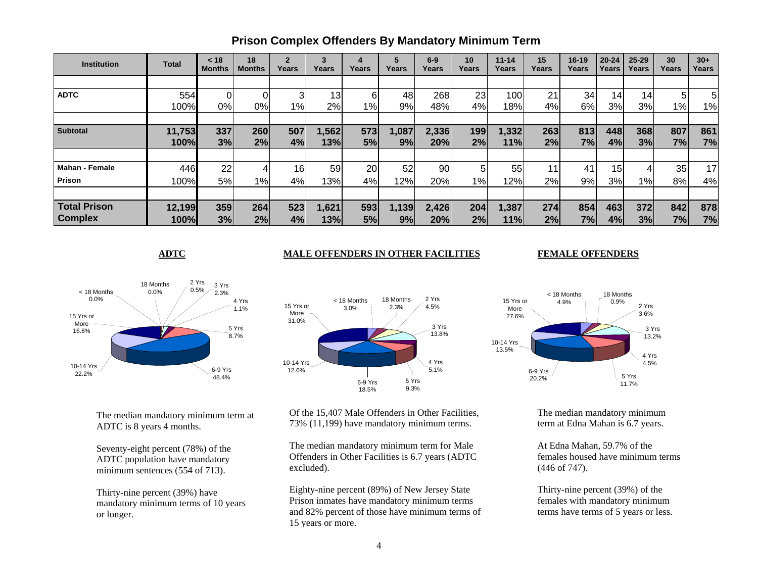| <b>Institution</b>    | <b>Total</b> | < 18<br><b>Months</b> | 18<br><b>Months</b> | $\overline{2}$<br>Years | 3<br>Years | 4<br>Years | Years | $6-9$<br>Years | 10<br>Years | $11 - 14$<br>Years | 15<br>Years | $16 - 19$<br>Years | $20 - 24$<br>Years | $25 - 29$<br>Years | 30<br>Years     | $30+$<br>Years  |
|-----------------------|--------------|-----------------------|---------------------|-------------------------|------------|------------|-------|----------------|-------------|--------------------|-------------|--------------------|--------------------|--------------------|-----------------|-----------------|
|                       |              |                       |                     |                         |            |            |       |                |             |                    |             |                    |                    |                    |                 |                 |
| <b>ADTC</b>           | 554          |                       |                     | 3                       | 13         | 6          | 48    | 268            | 23          | 100                | 21          | 34                 | 14                 | 14                 | 5               | 5               |
|                       | 100%         | 0%                    | 0%                  | $1\%$                   | 2%         | $1\%$      | 9%    | 48%            | 4%          | 18%                | 4%          | 6%                 | 3%                 | 3%                 | 1%              | 1%              |
|                       |              |                       |                     |                         |            |            |       |                |             |                    |             |                    |                    |                    |                 |                 |
| <b>Subtotal</b>       | 11,753       | 337                   | 260                 | 507                     | 1,562      | 573        | 1,087 | 2,336          | 199         | 1,332              | 263         | 813                | 448                | 368                | 807             | 861             |
|                       | 100%         | 3%                    | 2%                  | 4%                      | 13%        | 5%         | 9%    | 20%            | 2%          | 11%                | 2%          | 7%                 | 4%                 | 3%                 | 7%              | 7%              |
|                       |              |                       |                     |                         |            |            |       |                |             |                    |             |                    |                    |                    |                 |                 |
| <b>Mahan - Female</b> | 446          | 22                    |                     | 16                      | 59         | 20         | 52    | 90             | 5           | 55                 | 11          | 41                 | 15 <sub>1</sub>    | 4                  | 35 <sub>l</sub> | 17 <sup>1</sup> |
| <b>Prison</b>         | 100%         | 5%                    | 1%                  | 4%                      | 13%        | 4%         | 12%   | 20%            | $1\%$       | 12%                | 2%          | 9%                 | 3%                 | 1%                 | 8%              | 4%              |
|                       |              |                       |                     |                         |            |            |       |                |             |                    |             |                    |                    |                    |                 |                 |
| <b>Total Prison</b>   | 12,199       | 359                   | 264                 | 523                     | 1,621      | 593        | 1,139 | 2,426          | 204         | 1,387              | 274         | 854                | 463                | 372                | 842             | 878             |
| <b>Complex</b>        | 100%         | 3%                    | 2%                  | 4%                      | 13%        | 5%         | 9%    | 20%            | 2%          | 11%                | 2%          | 7%                 | 4%                 | 3%                 | 7%              | 7%              |

# **Prison Complex Offenders By Mandatory Minimum Term**

## **ADTC** MALE OFFENDERS IN OTHER FACILITIES

#### **FEMALE OFFENDERS**



The median mandatory minimum term at ADTC is 8 years 4 months.

Seventy-eight percent (78%) of the ADTC population have mandatory minimum sentences (554 of 713).

Thirty-nine percent (39%) have mandatory minimum terms of 10 years or longer.



Of the 15,407 Male Offenders in Other Facilities, 73% (11,199) have mandatory minimum terms.

The median mandatory minimum term for Male Offenders in Other Facilities is 6.7 years (ADTC excluded).

Eighty-nine percent (89%) of New Jersey State Prison inmates have mandatory minimum terms and 82% percent of those have minimum terms of 15 years or more.



The median mandatory minimum term at Edna Mahan is 6.7 years.

At Edna Mahan, 59.7% of the females housed have minimum terms (446 of 747).

Thirty-nine percent (39%) of the females with mandatory minimum terms have terms of 5 years or less.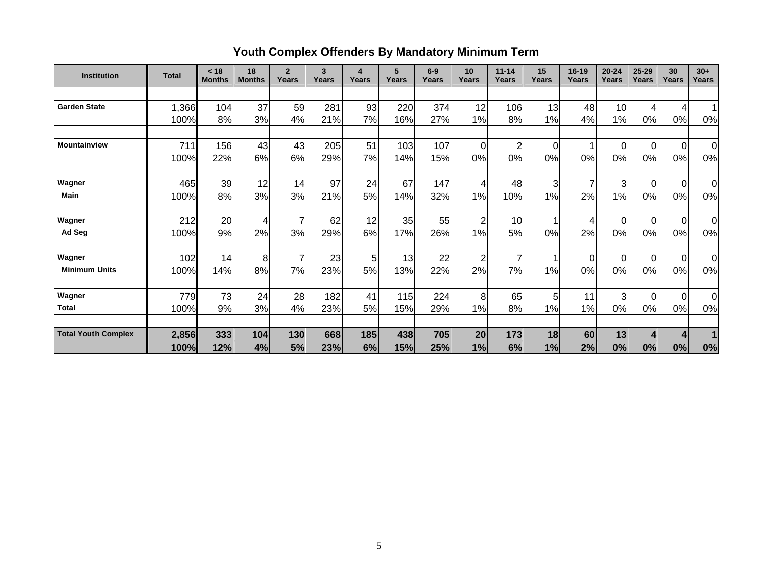# **Youth Complex Offenders By Mandatory Minimum Term**

| <b>Institution</b>         | <b>Total</b> | < 18<br><b>Months</b> | 18<br><b>Months</b> | $\overline{2}$<br>Years | 3<br>Years | 4<br>Years | 5<br>Years | $6-9$<br>Years | 10 <sup>1</sup><br>Years | $11 - 14$<br>Years | 15<br>Years | $16 - 19$<br>Years | $20 - 24$<br>Years | 25-29<br><b>Years</b> | 30<br>Years              | $30+$<br>Years |
|----------------------------|--------------|-----------------------|---------------------|-------------------------|------------|------------|------------|----------------|--------------------------|--------------------|-------------|--------------------|--------------------|-----------------------|--------------------------|----------------|
|                            |              |                       |                     |                         |            |            |            |                |                          |                    |             |                    |                    |                       |                          |                |
| <b>Garden State</b>        | 1,366        | 104                   | 37                  | 59                      | 281        | 93         | 220        | 374            | 12                       | 106                | 13          | 48                 | 10                 | 4                     | $\overline{\mathcal{A}}$ |                |
|                            | 100%         | 8%                    | 3%                  | 4%                      | 21%        | 7%         | 16%        | 27%            | 1%                       | 8%                 | 1%          | 4%                 | 1%                 | 0%                    | 0%                       | 0%             |
|                            |              |                       |                     |                         |            |            |            |                |                          |                    |             |                    |                    |                       |                          |                |
| <b>Mountainview</b>        | 711          | 156                   | 43                  | 43                      | 205        | 51         | 103        | 107            | $\mathbf 0$              | $\overline{2}$     | 0           | 1                  | $\overline{0}$     | $\overline{0}$        | $\overline{0}$           | $\overline{0}$ |
|                            | 100%         | 22%                   | 6%                  | 6%                      | 29%        | 7%         | 14%        | 15%            | 0%                       | 0%                 | 0%          | 0%                 | 0%                 | 0%                    | 0%                       | 0%             |
| Wagner                     | 465          | 39                    | 12                  | 14                      | 97         | 24         | 67         | 147            | 4                        | 48                 | 3           | $\overline{7}$     | 3                  | $\overline{0}$        | $\overline{0}$           | 0              |
| <b>Main</b>                | 100%         | 8%                    | 3%                  | 3%                      | 21%        | 5%         | 14%        | 32%            | $1\%$                    | 10%                | 1%          | 2%                 | 1%                 | 0%                    | 0%                       | 0%             |
| Wagner                     | 212          | 20                    | 4                   | 7                       | 62         | 12         | 35         | 55             | $\overline{2}$           | 10                 | 1           | 4                  | $\overline{0}$     | $\overline{0}$        | $\overline{0}$           | 0l             |
| Ad Seg                     | 100%         | 9%                    | 2%                  | 3%                      | 29%        | 6%         | 17%        | 26%            | 1%                       | 5%                 | 0%          | 2%                 | 0%                 | 0%                    | 0%                       | 0%             |
| Wagner                     | 102          | 14                    | 8                   | 7                       | 23         | 5          | 13         | 22             | $\overline{2}$           | 7                  | 1           | 0                  | $\overline{0}$     | $\Omega$              | $\overline{0}$           | $\Omega$       |
| <b>Minimum Units</b>       | 100%         | 14%                   | 8%                  | 7%                      | 23%        | 5%         | 13%        | 22%            | 2%                       | 7%                 | 1%          | 0%                 | 0%                 | 0%                    | 0%                       | 0%             |
|                            |              | 73                    |                     | 28                      |            | 41         |            |                | 8                        |                    |             |                    | 3                  |                       |                          |                |
| Wagner<br><b>Total</b>     | 779          |                       | 24                  |                         | 182        |            | 115        | 224            |                          | 65                 | 5           | 11                 |                    | 0l                    | $\Omega$                 | $\overline{0}$ |
|                            | 100%         | 9%                    | 3%                  | 4%                      | 23%        | 5%         | 15%        | 29%            | 1%                       | 8%                 | 1%          | 1%                 | 0%                 | 0%                    | 0%                       | 0%             |
| <b>Total Youth Complex</b> | 2,856        | 333                   | 104                 | 130                     | 668        | 185        | 438        | 705            | 20                       | 173                | 18          | 60                 | 13                 | 4                     |                          |                |
|                            | 100%         | 12%                   | 4%                  | 5%                      | 23%        | 6%         | 15%        | 25%            | 1%                       | 6%                 | 1%          | 2%                 | 0%                 | 0%                    | 0%                       | 0%             |